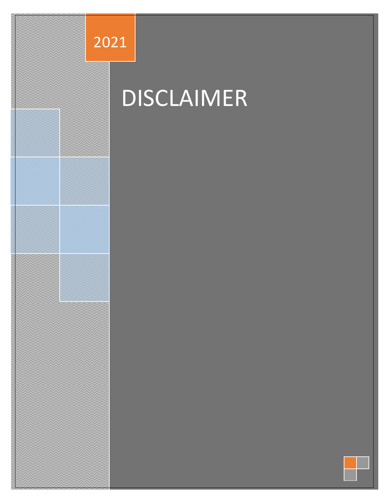

# **DISCLAIMER**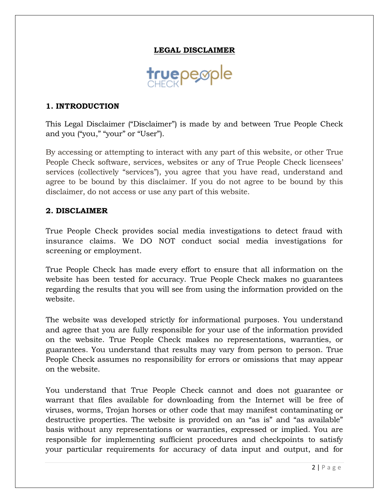### **LEGAL DISCLAIMER**



#### **1. INTRODUCTION**

This Legal Disclaimer ("Disclaimer") is made by and between True People Check and you ("you," "your" or "User").

By accessing or attempting to interact with any part of this website, or other True People Check software, services, websites or any of True People Check licensees' services (collectively "services"), you agree that you have read, understand and agree to be bound by this disclaimer. If you do not agree to be bound by this disclaimer, do not access or use any part of this website.

#### **2. DISCLAIMER**

True People Check provides social media investigations to detect fraud with insurance claims. We DO NOT conduct social media investigations for screening or employment.

True People Check has made every effort to ensure that all information on the website has been tested for accuracy. True People Check makes no guarantees regarding the results that you will see from using the information provided on the website.

The website was developed strictly for informational purposes. You understand and agree that you are fully responsible for your use of the information provided on the website. True People Check makes no representations, warranties, or guarantees. You understand that results may vary from person to person. True People Check assumes no responsibility for errors or omissions that may appear on the website.

You understand that True People Check cannot and does not guarantee or warrant that files available for downloading from the Internet will be free of viruses, worms, Trojan horses or other code that may manifest contaminating or destructive properties. The website is provided on an "as is" and "as available" basis without any representations or warranties, expressed or implied. You are responsible for implementing sufficient procedures and checkpoints to satisfy your particular requirements for accuracy of data input and output, and for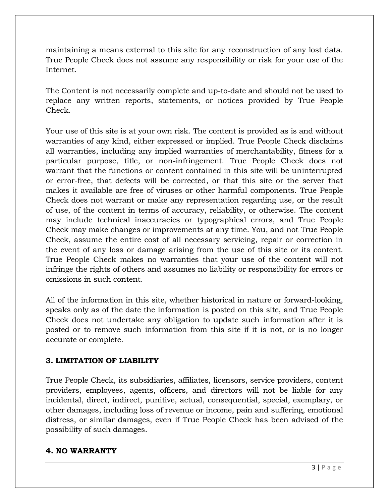maintaining a means external to this site for any reconstruction of any lost data. True People Check does not assume any responsibility or risk for your use of the Internet.

The Content is not necessarily complete and up-to-date and should not be used to replace any written reports, statements, or notices provided by True People Check.

Your use of this site is at your own risk. The content is provided as is and without warranties of any kind, either expressed or implied. True People Check disclaims all warranties, including any implied warranties of merchantability, fitness for a particular purpose, title, or non-infringement. True People Check does not warrant that the functions or content contained in this site will be uninterrupted or error-free, that defects will be corrected, or that this site or the server that makes it available are free of viruses or other harmful components. True People Check does not warrant or make any representation regarding use, or the result of use, of the content in terms of accuracy, reliability, or otherwise. The content may include technical inaccuracies or typographical errors, and True People Check may make changes or improvements at any time. You, and not True People Check, assume the entire cost of all necessary servicing, repair or correction in the event of any loss or damage arising from the use of this site or its content. True People Check makes no warranties that your use of the content will not infringe the rights of others and assumes no liability or responsibility for errors or omissions in such content.

All of the information in this site, whether historical in nature or forward-looking, speaks only as of the date the information is posted on this site, and True People Check does not undertake any obligation to update such information after it is posted or to remove such information from this site if it is not, or is no longer accurate or complete.

#### **3. LIMITATION OF LIABILITY**

True People Check, its subsidiaries, affiliates, licensors, service providers, content providers, employees, agents, officers, and directors will not be liable for any incidental, direct, indirect, punitive, actual, consequential, special, exemplary, or other damages, including loss of revenue or income, pain and suffering, emotional distress, or similar damages, even if True People Check has been advised of the possibility of such damages.

## **4. NO WARRANTY**